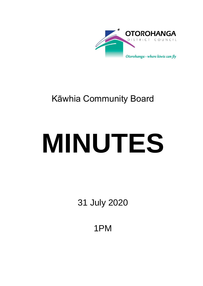

# Kāwhia Community Board

# **MINUTES**

31 July 2020

1PM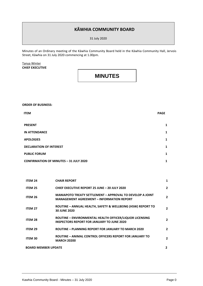### **KĀWHIA COMMUNITY BOARD**

31 July 2020

Minutes of an Ordinary meeting of the Kāwhia Community Board held in the Kāwhia Community Hall, Jervois Street, Kāwhia on 31 July 2020 commencing at 1.00pm.

#### Tanya Winter **CHIEF EXECUTIVE**

## **MINUTES**

**ORDER OF BUSINESS:**

| <b>ITEM</b>                                   | <b>PAGE</b> |
|-----------------------------------------------|-------------|
| <b>PRESENT</b>                                | 1           |
| <b>IN ATTENDANCE</b>                          | 1           |
| <b>APOLOGIES</b>                              | 1           |
| <b>DECLARATION OF INTEREST</b>                | 1           |
| <b>PUBLIC FORUM</b>                           | 1           |
| <b>CONFIRMATION OF MINUTES - 31 JULY 2020</b> | 1           |

| <b>ITEM 24</b>             | <b>CHAIR REPORT</b>                                                                                                  | 1            |
|----------------------------|----------------------------------------------------------------------------------------------------------------------|--------------|
| <b>ITEM 25</b>             | <b>CHIEF EXECUTIVE REPORT 25 JUNE - 20 JULY 2020</b>                                                                 | $\mathbf{2}$ |
| <b>ITEM 26</b>             | <b>MANIAPOTO TREATY SETTLEMENT - APPROVAL TO DEVELOP A JOINT</b><br><b>MANAGEMENT AGREEMENT - INFORMATION REPORT</b> | $\mathbf{2}$ |
| <b>ITEM 27</b>             | ROUTINE - ANNUAL HEALTH, SAFETY & WELLBEING (HSW) REPORT TO<br><b>30 JUNE 2020</b>                                   | 2            |
| <b>ITEM 28</b>             | ROUTINE - ENVIRONMENTAL HEALTH OFFICER/LIQUOR LICENSING<br><b>INSPECTORS REPORT FOR JANUARY TO JUNE 2020</b>         | 2            |
| <b>ITEM 29</b>             | <b>ROUTINE - PLANNING REPORT FOR JANUARY TO MARCH 2020</b>                                                           | $\mathbf{2}$ |
| <b>ITEM 30</b>             | ROUTINE - ANIMAL CONTROL OFFICERS REPORT FOR JANUARY TO<br><b>MARCH 20200</b>                                        | $\mathbf{2}$ |
| <b>BOARD MEMBER UPDATE</b> |                                                                                                                      | $\mathbf{2}$ |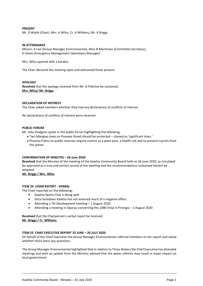#### **PRESENT**

Mr. D Walsh (Chair), Mrs. H Whiu, Cr. A Williams**,** Mr. K Briggs

#### **IN ATTENDANCE**

Messrs. A Loe (Group Manager Environmental), Miss N Martinsen (Committee Secretary), D Simes (Emergency Management Operations Manager)

Mrs. Whiu opened with a karakia.

The Chair declared the meeting open and welcomed those present.

#### **APOLOGY**

**Resolved** that the apology received from Mr. G Fletcher be sustained. **Mrs. Whiu/ Mr. Briggs**

#### **DECLARATION OF INTEREST**

The Chair asked members whether they had any declarations of conflicts of interest.

No declarations of conflicts of interest were received.

#### **PUBLIC FORUM**

Mr. John Dodgson spoke in the public forum highlighting the following;

- Two Mangiao trees on Pouewe Street should be protected classed as 'significant trees.'
- Pheonix Palms on public reserves require control as a plant pest, a health risk and to prevent injuries from the spines.

#### **CONFIRMATION OF MINUTES – 26 June 2020**

**Resolved** that the Minutes of the meeting of the Kawhia Community Board held on 26 June 2020, as circulated be approved as a true and correct record of the meeting and the recommendations contained therein be adopted.

**Mr. Briggs / Mrs. Whiu**

#### **ITEM 24 CHAIR REPORT - VERBAL**

The Chair reported on the following;

- Kawhia Sports Club is doing well.
- Since lockdown Kawhia has not endured much of a negative effect.
- Attending a TKI Development meeting 1 August 2020
- Attending a meeting in Oparau concerning the 1080 Drop in Pirongia 2 August 2020

**Resolved** that the Chairperson's verbal report be received. **Mr. Briggs / Cr. Williams**

#### **ITEM 25 CHIEF EXECUTIVE REPORT 25 JUNE – 20 JULY 2020**

On behalf of the Chief Executive the Group Manager Environmental referred members to her report and asked whether there were any questions.

The Group Manager Environmental highlighted that in relation to Three Waters the Chief Executive has attended meetings and with an update from the Ministry advised that the water reforms may result in major impact on local government.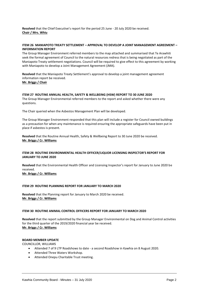**Resolved** that the Chief Executive's report for the period 25 June - 20 July 2020 be received. **Chair / Mrs. Whiu**

#### **ITEM 26 MANIAPOTO TREATY SETTLEMENT – APPROVAL TO DEVELOP A JOINT MANAGEMENT AGREEMENT – INFORMATION REPORT**

The Group Manager Environment referred members to the map attached and summarised that Te Arawhiti seek the formal agreement of Council to the natural resources redress that is being negotiated as part of the Maniapoto Treaty settlement negotiations. Council will be required to give effect to this agreement by working with Maniapoto to develop a Joint Management Agreement (JMA).

**Resolved** that the Maniapoto Treaty Settlement's approval to develop a joint management agreement information report be received. **Mr. Briggs / Chair**

#### **ITEM 27 ROUTINE ANNUAL HEALTH, SAFETY & WELLBEING (HSW) REPORT TO 30 JUNE 2020**

The Group Manager Environmental referred members to the report and asked whether there were any questions.

The Chair queried when the Asbestos Management Plan will be developed.

The Group Manager Environment responded that this plan will include a register for Council owned buildings as a precaution for when any maintenance is required ensuring the appropriate safeguards have been put in place if asbestos is present.

**Resolved** that the Routine Annual Health, Safety & Wellbeing Report to 30 June 2020 be received. **Mr. Briggs / Cr. Williams**

#### **ITEM 28 ROUTINE ENVIRONMENTAL HEALTH OFFICER/LIQUOR LICENSING INSPECTOR'S REPORT FOR JANUARY TO JUNE 2020**

**Resolved** that the Environmental Health Officer and Licensing Inspector's report for January to June 2020 be received.

**Mr. Briggs / Cr. Williams**

#### **ITEM 29 ROUTINE PLANNING REPORT FOR JANUARY TO MARCH 2020**

**Resolved** that the Planning report for January to March 2020 be received. **Mr. Briggs / Cr. Williams**

#### **ITEM 30 ROUTINE ANIMAL CONTROL OFFICERS REPORT FOR JANUARY TO MARCH 2020**

**Resolved** that the report submitted by the Group Manager Environmental on Dog and Animal Control activities for the third quarter of the 2019/2020 financial year be received. **Mr. Briggs / Cr. Williams**

#### **BOARD MEMBER UPDATE**

COUNCILLOR, WILLIAMS

- Attended 7 of 9 LTP Roadshows to date a second Roadshow in Kawhia on 8 August 2020.
- Attended Three Waters Workshop.
- Attended Onepu Charitable Trust meeting.